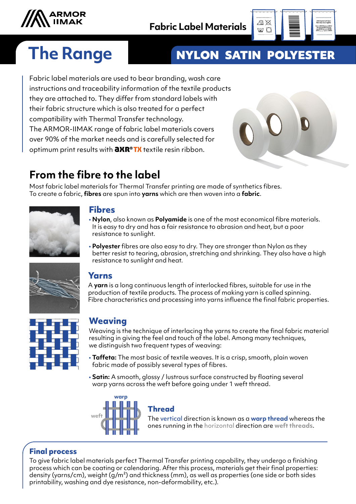



# **The Range NYLON SATIN POLYESTER**

Fabric label materials are used to bear branding, wash care instructions and traceability information of the textile products they are attached to. They differ from standard labels with their fabric structure which is also treated for a perfect compatibility with Thermal Transfer technology. The ARMOR-IIMAK range of fabric label materials covers over 90% of the market needs and is carefully selected for optimum print results with  $\frac{\partial X}{\partial x}$  textile resin ribbon.



# **From the fibre to the label**

Most fabric label materials for Thermal Transfer printing are made of synthetics fibres. To create a fabric, **fibres** are spun into **yarns** which are then woven into a **fabric**.



#### **Fibres**

- **Nylon**, also known as **Polyamide** is one of the most economical fibre materials. It is easy to dry and has a fair resistance to abrasion and heat, but a poor resistance to sunlight.
- **Polyester** fibres are also easy to dry. They are stronger than Nylon as they better resist to tearing, abrasion, stretching and shrinking. They also have a high resistance to sunlight and heat.



#### **Yarns**

A **yarn** is a long continuous length of interlocked fibres, suitable for use in the production of textile products. The process of making yarn is called spinning. Fibre characteristics and processing into yarns influence the final fabric properties.



### **Weaving**

Weaving is the technique of interlacing the yarns to create the final fabric material resulting in giving the feel and touch of the label. Among many techniques, we distinguish two frequent types of weaving:

- **Taffeta:** The most basic of textile weaves. It is a crisp, smooth, plain woven fabric made of possibly several types of fibres.
- **Satin:** A smooth, glossy / lustrous surface constructed by floating several warp yarns across the weft before going under 1 weft thread.



#### **Thread**

The vertical direction is known as a **warp thread** whereas the ones running in the horizontal direction are **weft threads**.

#### **Final process**

To give fabric label materials perfect Thermal Transfer printing capability, they undergo a finishing process which can be coating or calendaring. After this process, materials get their final properties: density (yarns/cm), weight (g/m²) and thickness (mm), as well as properties (one side or both sides printability, washing and dye resistance, non-deformability, etc.).